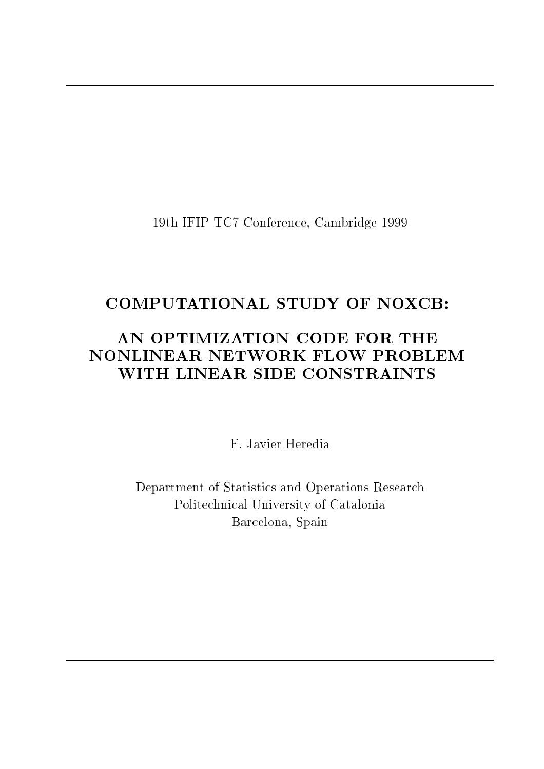19th IFIP TC7 Conference, Cambridge 1999

## COMPUTATIONAL STUDY OF NOXCB:

### AN OPTIMIZATION CODE FOR THE NONLINEAR NETWORK FLOW PROBLEM WITH LINEAR SIDE CONSTRAINTS

F. Javier Heredia

Department of Statistics and Operations Research Politechnical University of Catalonia Barcelona, Spain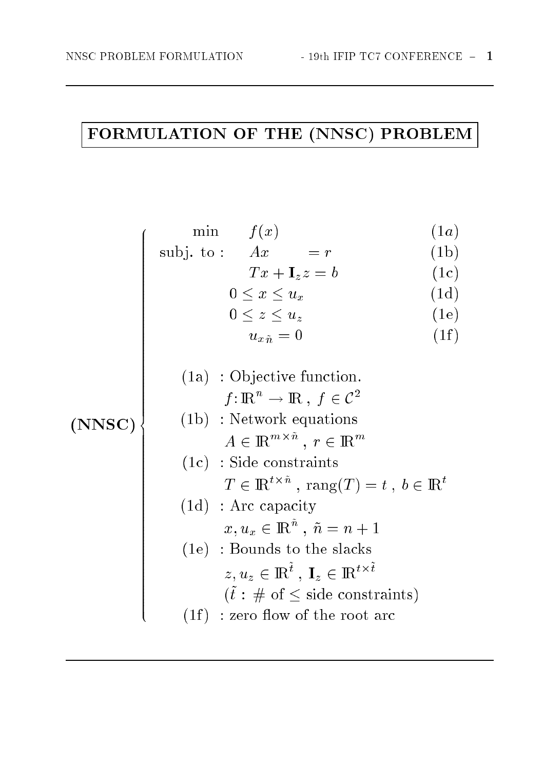# FORMULATION OF THE (NNSC) PROBLEM

$$
\begin{array}{c}\n\text{min} \quad f(x) & (1a) \\
\text{subj. to:} \quad Ax = r & (1b) \\
\quad Tx + \mathbf{I}_z z = b & (1c) \\
0 \le x \le u_x & (1d) \\
0 \le z \le u_z & (1e) \\
u_{x\hat{n}} = 0 & (1f) \\
\text{(1a) : Objective function.} \\
f: \mathbb{R}^n \to \mathbb{R}, f \in \mathbb{C}^2 \\
(\text{NNSC}) & (1b) : \text{Network equations} \\
A \in \mathbb{R}^{m \times \hat{n}}, r \in \mathbb{R}^m \\
(\text{1c) : Side constraints} \\
T \in \mathbb{R}^{t \times \hat{n}}, \text{rang}(T) = t, b \in \mathbb{R}^t \\
(\text{1d) : Arc capacity} \\
x, u_x \in \mathbb{R}^{\hat{n}}, \tilde{n} = n + 1 \\
(\text{1e) : Bounds to the slacks} \\
z, u_z \in \mathbb{R}^{\tilde{t}}, \mathbf{I}_z \in \mathbb{R}^{t \times \tilde{t}} \\
(\tilde{t} : \# \text{ of } \le \text{ side constraints}) \\
(\text{1f}) : \text{zero flow of the root arc}\n\end{array}
$$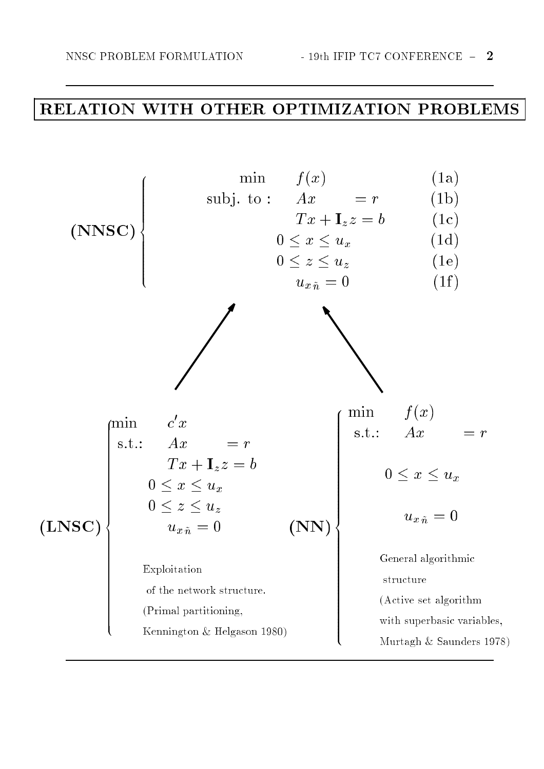## RELATION WITH OTHER OPTIMIZATION PROBLEMS

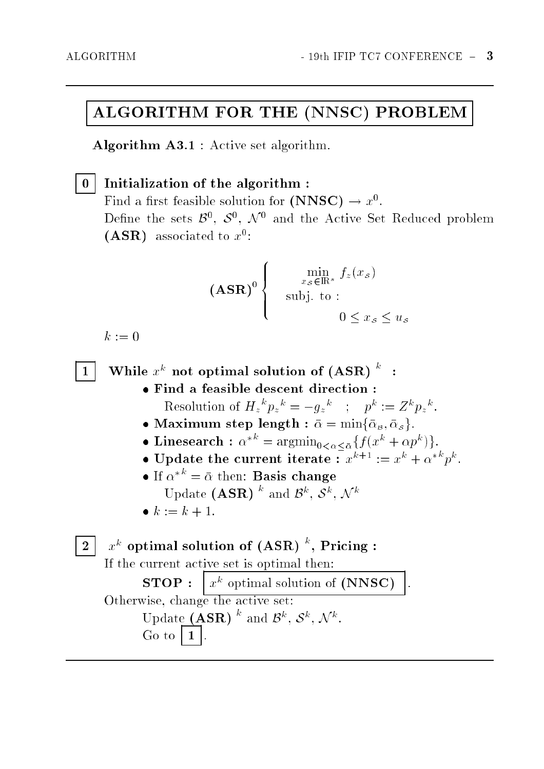### ALGORITHM FOR THE (NNSC) PROBLEM

Algorithm A3.1 : Active set algorithm.

 $0$  | Initialization of the algorithm :  $\bf r$  ma a mist reasible solution for (ININSC)  $\rightarrow x^-.$ Define the sets  $\beta^*, \beta^*, N^*$  and the Active Set Reduced problem (ASR) associated to  $x$ :

**88** 

$$
(\mathbf{ASR})^0 \begin{cases} \min_{x_{\mathcal{S}} \in \mathbb{R}^s} f_z(x_{\mathcal{S}}) \\ \text{subj. to :} \\ 0 \le x_{\mathcal{S}} \le u_{\mathcal{S}} \end{cases}
$$

 $k := 0$ 

 $1$  | While  $x^{\kappa}$  not optimal solution of (ASR)  $\ddot{\phantom{1}}$  :

- Find a feasible descent direction : Resolution of  $H_z$   $p_z$   $= -q_z$  ;  $p_x$   $= Z^{\alpha} p_z$ .
- $\mathcal{B}$  , and the maximum step length  $\mathcal{B}$  , and  $\mathcal{B}$  , and  $\mathcal{B}$  , and  $\mathcal{B}$  , and  $\mathcal{B}$  , and  $\mathcal{B}$  , and  $\mathcal{B}$  , and  $\mathcal{B}$  , and  $\mathcal{B}$  , and  $\mathcal{B}$  , and  $\mathcal{B}$  , and  $\mathcal{B}$  , and  $\$
- Linesearch :  $\alpha$  =  $\arg\min_{0 \leq \alpha \leq \bar{\alpha}} \{f(x^{\alpha} + \alpha p^{\alpha})\}.$
- Update the current iterate :  $x^{n+1} := x^n + \alpha^{n+1} p^n$ .
- $\bullet$  If  $\alpha$   $\cdots$  $=$   $\frac{B}{B}$ Update  $(ASR)$  and  $\beta^{\kappa}, \delta^{\kappa}, \mathcal{N}^{\kappa}$
- k := k + 1.

 $2+ x^{\kappa}$  optimal solution of (ASR)  $\tilde{ }$  , Pricing :

If the current active set is optimal then:

 $x^k$  optimal solution of (NNSC)  $STOP:$ Otherwise, change the active set: Update  $(ASK)$  and  $\mathcal{B}^n$ ,  $\mathcal{S}^n$ ,  $\mathcal{N}^n$ .  $Go to$  $\blacksquare$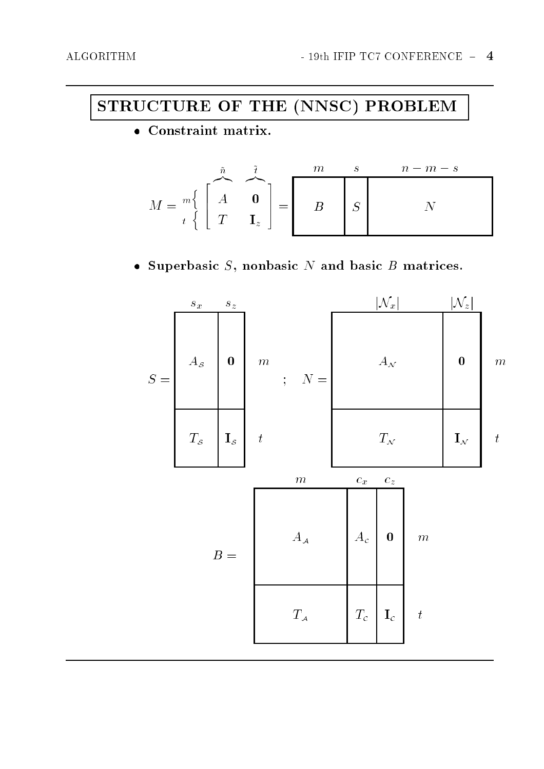## STRUCTURE OF THE (NNSC) PROBLEM

• Constraint matrix.

$$
M = \begin{bmatrix} \begin{matrix} \tilde{n} & \tilde{t} & m & s & n-m-s \\ A & \mathbf{0} & B & S \end{matrix} & M \end{bmatrix}
$$

• Superbasic  $S$ , nonbasic  $N$  and basic  $B$  matrices.

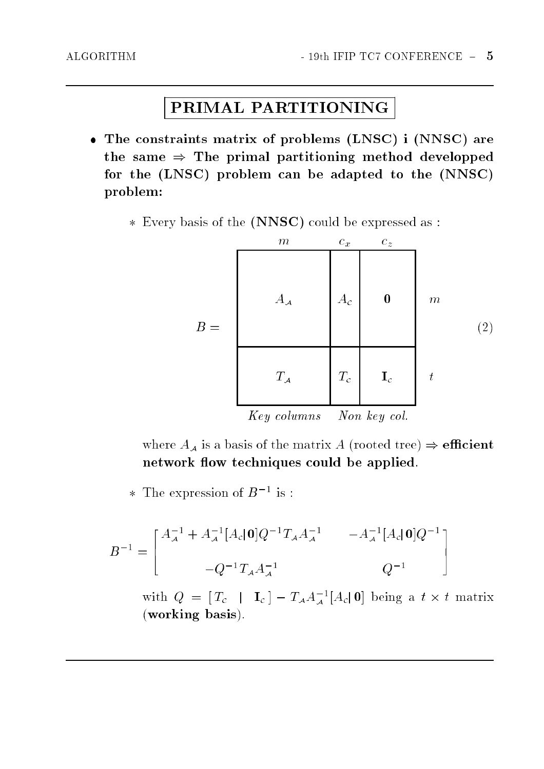## PRIMAL PARTITIONING

- The constraints matrix of problems (LNSC) i (NNSC) are the same  $\Rightarrow$  The primal partitioning method developped for the (LNSC) problem can be adapted to the (NNSC) problem:
	- Every basis of the (NNSC) could be expressed as :



where  $A_A$  is a basis of the matrix A (rooted tree)  $\Rightarrow$  efficient network flow techniques could be applied.

\* I he expression of *D* = is :

$$
B^{-1} = \begin{bmatrix} A_{\mathcal{A}}^{-1} + A_{\mathcal{A}}^{-1} [A_{c} | \mathbf{0}] Q^{-1} T_{\mathcal{A}} A_{\mathcal{A}}^{-1} & -A_{\mathcal{A}}^{-1} [A_{c} | \mathbf{0}] Q^{-1} \\ & -Q^{-1} T_{\mathcal{A}} A_{\mathcal{A}}^{-1} & Q^{-1} \end{bmatrix}
$$

with  $Q = [I_c + I_c] = I_A A_A^{-1} [A_c]$  of being a  $t \times t$  matrix (working basis).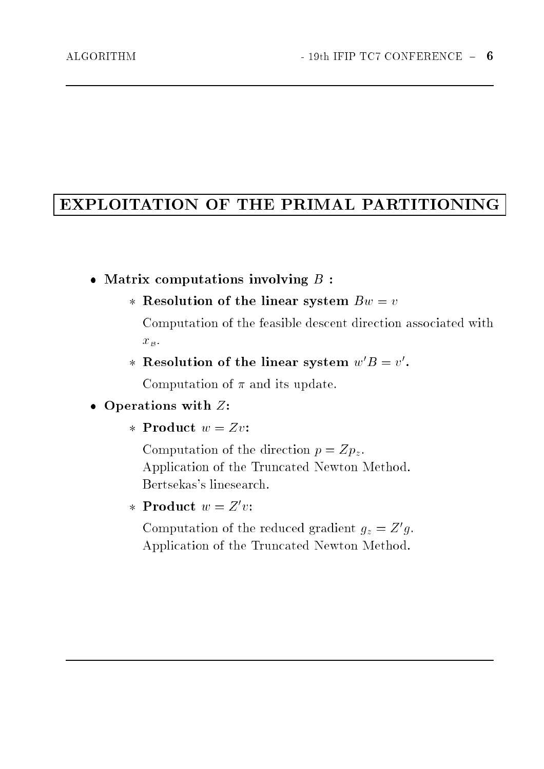### EXPLOITATION OF THE PRIMAL PARTITIONING

- matrix computations in a set of the set of the set of the set of the set of the set of the set of the set of t
	- Resolution of the linear system Bw <sup>=</sup> <sup>v</sup>

Computation of the feasible descent direction associated with  $x_B$ .

 $*$  resolution of the linear system  $w \, \boldsymbol{D} = v$ .

Computation of  $\pi$  and its update.

#### Operations with Z:

\* Product  $w = Zv$ :

Computation of the direction  $p = Zp_z$ . Application of the Truncated Newton Method. Bertsekas's linesearch.

\* Product  $w = Z'v$ :

Computation of the reduced gradient  $q_z = \frac{Z}{q}$ . Application of the Truncated Newton Method.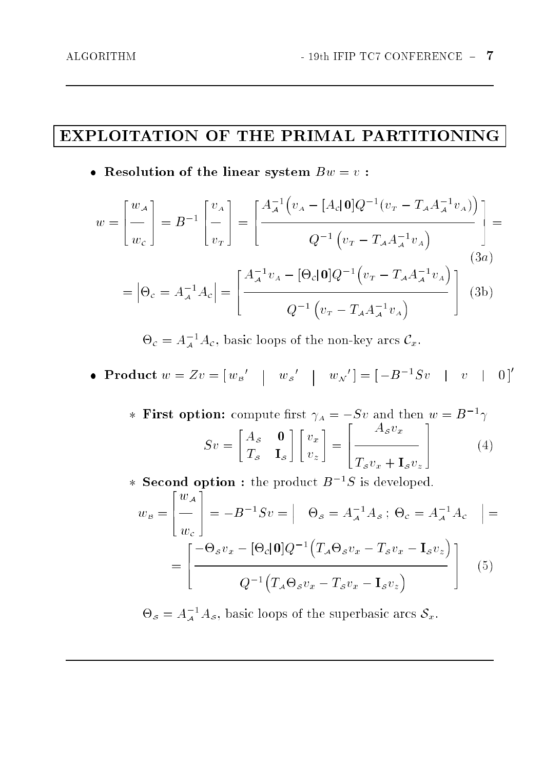### EXPLOITATION OF THE PRIMAL PARTITIONING

 $\mathcal{L}$  . It is the set the linear system B  $\alpha$  :

$$
w = \begin{bmatrix} w_A \\ w_C \end{bmatrix} = B^{-1} \begin{bmatrix} v_A \\ - \\ v_T \end{bmatrix} = \begin{bmatrix} \frac{A^{-1}_{\mathcal{A}}(v_A - [A_c|\mathbf{0}]Q^{-1}(v_T - T_{\mathcal{A}}A^{-1}_{\mathcal{A}}v_A))}{Q^{-1}(v_T - T_{\mathcal{A}}A^{-1}_{\mathcal{A}}v_A)} \end{bmatrix} =
$$

$$
= |\Theta_c = A^{-1}_{\mathcal{A}}A_c| = \begin{bmatrix} \frac{A^{-1}_{\mathcal{A}}v_A - [\Theta_c|\mathbf{0}]Q^{-1}(v_T - T_{\mathcal{A}}A^{-1}_{\mathcal{A}}v_A)}{Q^{-1}(v_T - T_{\mathcal{A}}A^{-1}_{\mathcal{A}}v_A)} \end{bmatrix}
$$
(3b)

 $\sigma_c = A_A^- A_c$ , basic loops of the non-key arcs  $C_x$ .

• Product  $w = Zv = |w_{\mathcal{B}}' - w_{\mathcal{S}}' - w_{\mathcal{N}}'| = |-B^{-1}Sv - w_{\mathcal{N}}|$ 

 $*$  **r** irst option: compute first  $\gamma_A = -\beta v$  and then  $w = B^{-1}\gamma$ "  $\overline{\mathcal{O}}$  denote the set of  $\overline{\mathcal{O}}$  $-\circ$   $-\circ$ - - $\sim$  $\sim$ # <u>2020 - 2020 - 2020 - 2020 - 2020 - 2020 - 2020 - 2020 - 2020 - 2020 - 2020 - 2020 - 2020 - 2020 - 2020 - 20</u>  $\overline{1}$ --a-w TSvx <sup>+</sup> IS vz <sup>3</sup>  $(4)$ 

 $\ast$  second option: the product  $B$   $\rightarrow$  is developed.

$$
w_{\mathcal{B}} = \begin{bmatrix} w_{\mathcal{A}} \\ w_{c} \end{bmatrix} = -B^{-1}Sv = \begin{bmatrix} \Theta_{\mathcal{S}} = A_{\mathcal{A}}^{-1}A_{\mathcal{S}} \, ; \, \Theta_{\mathcal{C}} = A_{\mathcal{A}}^{-1}A_{\mathcal{C}} \end{bmatrix} = \begin{bmatrix} -\Theta_{\mathcal{S}}v_{x} - [\Theta_{\mathcal{C}}|\mathbf{0}]Q^{-1}\left(T_{\mathcal{A}}\Theta_{\mathcal{S}}v_{x} - T_{\mathcal{S}}v_{x} - \mathbf{I}_{\mathcal{S}}v_{z}\right) \\ Q^{-1}\left(T_{\mathcal{A}}\Theta_{\mathcal{S}}v_{x} - T_{\mathcal{S}}v_{x} - \mathbf{I}_{\mathcal{S}}v_{z}\right) \end{bmatrix}
$$
(5)

 $\Theta_{\mathcal{S}} = A_{\mathcal{A}}^T A_{\mathcal{S}},$  basic loops of the superbasic arcs  $\mathcal{S}_x$ .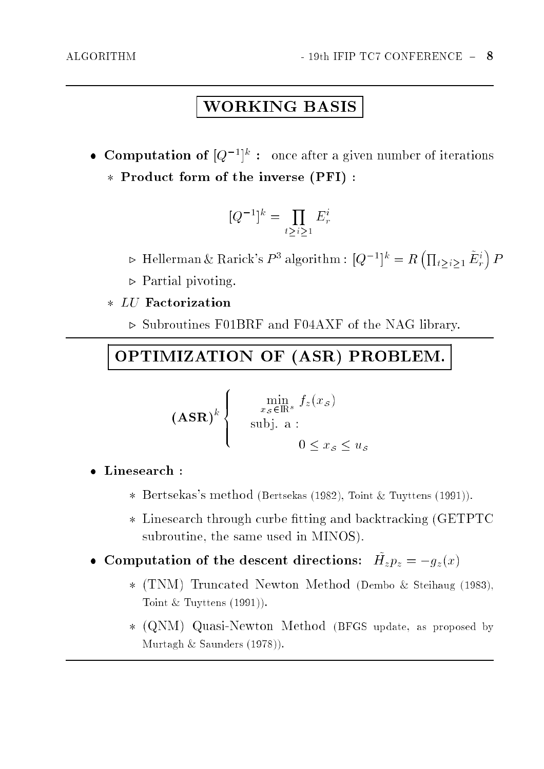$\sim$ 

## WORKING BASIS

 $\bullet$  Computation of  $Q^{-1}$  : once after a given number of iterations Product form of the inverse (PFI) :

$$
[Q^{-1}]^k = \prod_{t \ge i \ge 1} E^i_r
$$

- $\triangleright$  Hellerman & Rarick's  $P^3$  algorithm :  $|Q^{-1}|^k = R$  $\sqrt{2}$  $t > i > 1$   $E_r$
- $\triangleright$  Partial pivoting.
- - . Subroutines F01BRF and F04AXF of the NAG library.

### OPTIMIZATION OF (ASR) PROBLEM.

$$
(\mathbf{ASR})^k \begin{cases} \min_{x_{\mathcal{S}} \in \mathbb{R}^s} f_z(x_{\mathcal{S}}) \\ \text{subj. a :} \\ 0 \le x_{\mathcal{S}} \le u_{\mathcal{S}} \end{cases}
$$

**88** 

- - Bertsekas's method (Bertsekas (1982), Toint & Tuyttens (1991)).
	- $\mathcal{L}$  . The tracking and backtracking and backtracking (GETPTC) (GETPTC) subroutine, the same used in MINOS).
- $\bullet$  Computation of the descent directions.  $H_z p_z = -g_z(x)$ 
	- (TNM) Truncated Newton Method (Democratic Company of Steinard (Democratic Company), International Toint  $&$  Tuyttens  $(1991)$ .
	- (QN) (QN) QUASI-NEWTON METHOD (BFGS UPDATE) (BFG) update, as proposed by proposed by Murtagh & Saunders (1978)).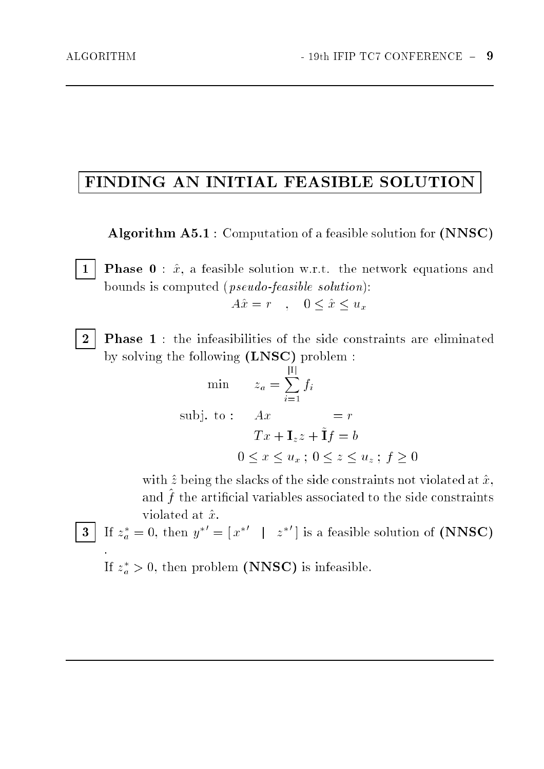## FINDING AN INITIAL FEASIBLE SOLUTION

Algorithm A5.1 : Computation of a feasible solution for (NNSC)

1 | **Phase 0** :  $\hat{x}$ , a feasible solution w.r.t. the network equations and bounds is computed (pseudo-feasible solution):

$$
A\hat{x} = r \quad , \quad 0 \le \hat{x} \le u_x
$$

2 **Phase 1** : the infeasibilities of the side constraints are eliminated by solving the following (LNSC) problem :

$$
\begin{aligned}\n\min \qquad & z_a = \sum_{i=1}^{|1|} f_i \\
\text{subj. to:} \qquad & Ax & = r \\
& Tx + \mathbf{I}_z z + \tilde{\mathbf{I}} f &= b \\
& 0 \le x \le u_x \; ; \; 0 \le z \le u_z \; ; \; f \ge 0\n\end{aligned}
$$

with  $\hat{z}$  being the slacks of the side constraints not violated at  $\hat{x}$ , and ^ f the articial variables associated to the side constraints violated at  $\hat{x}$ .

3 If 
$$
z_a^* = 0
$$
, then  $y^{*'} = [x^{*'} \mid z^{*'}]$  is a feasible solution of (NNSC)

 $z_a > 0$ , then problem (NNSC) is infeasible.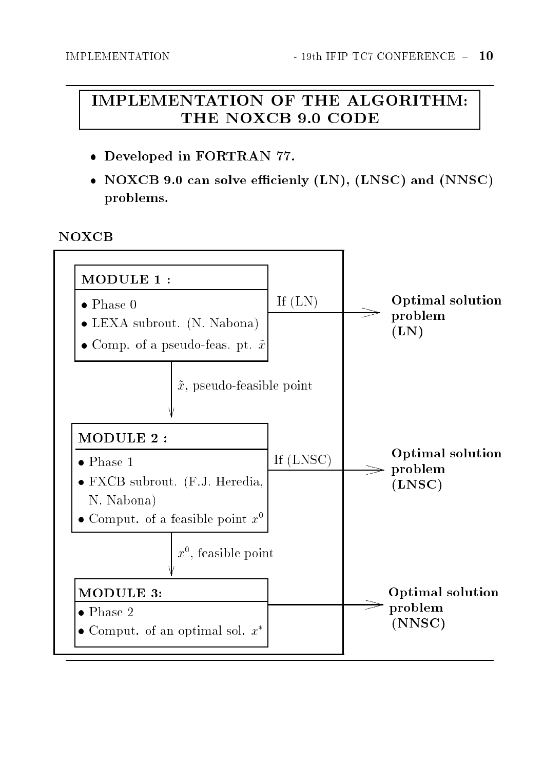### **IMPLEMENTATION OF THE ALGORITHM:** THE NOXCB 9.0 CODE

- Developed in FORTRAN 77.
- NOXCB 9.0 can solve efficienly (LN), (LNSC) and (NNSC) problems.

#### **NOXCB**

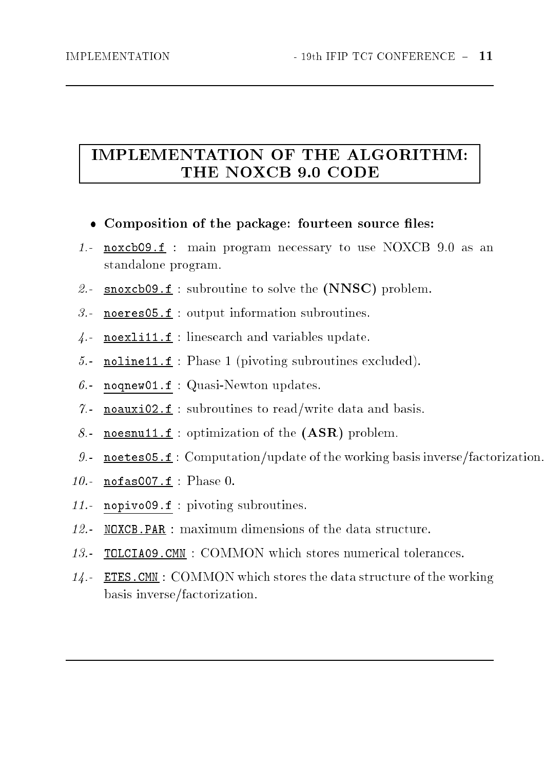### **IMPLEMENTATION OF THE ALGORITHM:** THE NOXCB 9.0 CODE

- Composition of the package: fourteen source les:
- 1.- noxcb09.f : main program necessary to use NOXCB 9.0 as an standalone program.
- 2.- snoxcb09.f : subroutine to solve the  $(NNSC)$  problem.
- 3.noeres05.f : output information subroutines.
- 4.noexli11.f : linesearch and variables update.
- 5.noline11.f : Phase <sup>1</sup> (pivoting subroutines excluded).
- 6.noqnew01.f : Quasi-Newton updates.
- $\gamma$ . noauxi02.f : subroutines to read/write data and basis.
- 8.noesnu11.f : optimization of the (ASR) problem.
- 9.noetes05.f : Computation/update of the working basis inverse/factorization.
- 10.  $\blacksquare$  nofas007.f : Phase 0.
- 11.- nopivo09.f : pivoting subroutines.
- 12.- NOXCB.PAR : maximum dimensions of the data structure.
- 13.- TOLCIA09.CMN : COMMON which stores numerical tolerances.
- 14.- ETES.CMN : COMMON which stores the data structure of the working basis inverse/factorization.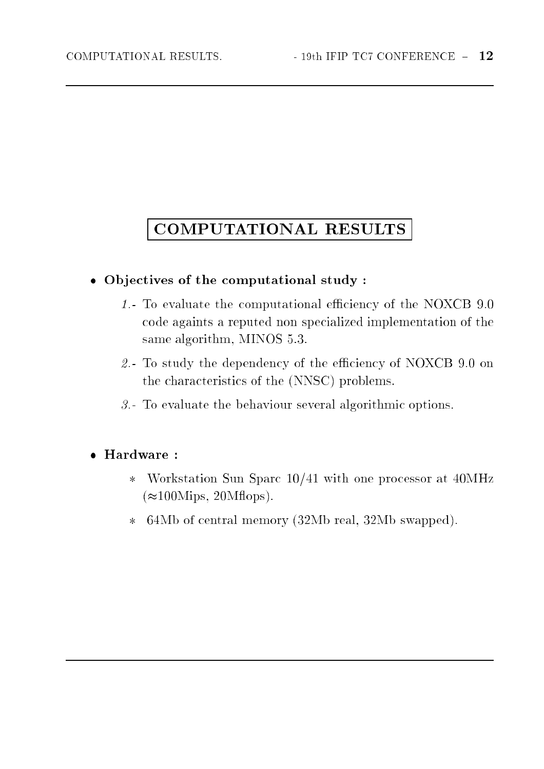## COMPUTATIONAL RESULTS

#### Ob jectives of the computational study :

- 1.- To evaluate the computational eciency of the NOXCB 9.0 code againts a reputed non specialized implementation of the same algorithm, MINOS 5.3.
- 2.- To study the dependency of the eciency of NOXCB 9.0 on the characteristics of the (NNSC) problems.
- 3.- To evaluate the behaviour several algorithmic options.

#### Hardware :

- $\boldsymbol{\times}$  Workstation Sun Sparc 10/41 with one processor at 40MHz  $(\approx 100 \text{Mips}, 20 \text{M flops})$ .
- 64Mb of central memory (32Mb real, 32Mb swapped). $\star$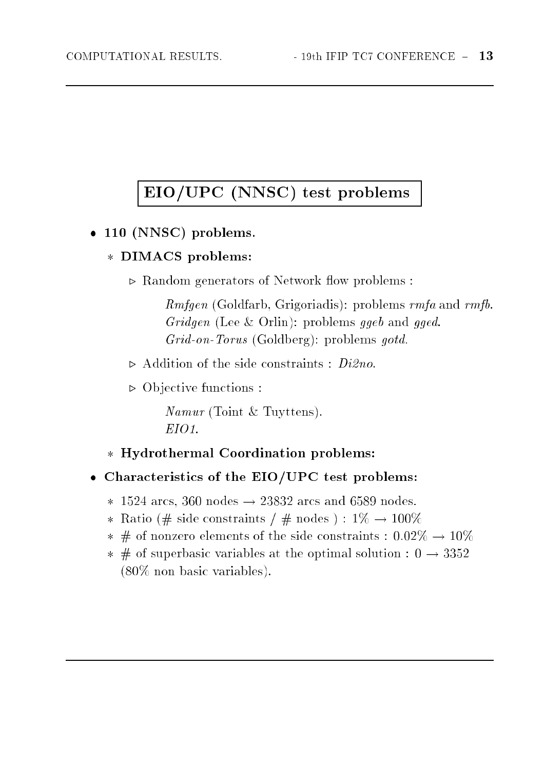## EIO/UPC (NNSC) test problems

110 (110 Problems) problems.

#### DIMACS problems:

 $\triangleright$  Random generators of Network flow problems:

Rmfgen (Goldfarb, Grigoriadis): problems rmfa and rmfb. Gridgen (Lee & Orlin): problems ggeb and gged. Grid-on-Torus (Goldberg): problems gotd.

- $\triangleright$  Addition of the side constraints :  $Di2no$ .
- $\triangleright$  Objective functions :

namur (Toint & Tuyttens). EIO1.

Hydrothermal Coordination problems:

#### Characteristics of the EIO/UPC test problems:

- 1525 arcs, 360 no. 2383 arcs and 659 nodes. 2393 no. 2383
- Ratio (# side constraints / # nodes ) : 1% ! 100%
- # of nonzero elements of the side constraints : 0.02% ! 10%
- $\mathcal{L}$  of superbasic variables at the optimal solution  $\mathcal{L}$  solution  $\mathcal{L}$  .  $\mathcal{L}$ (80% non basic variables).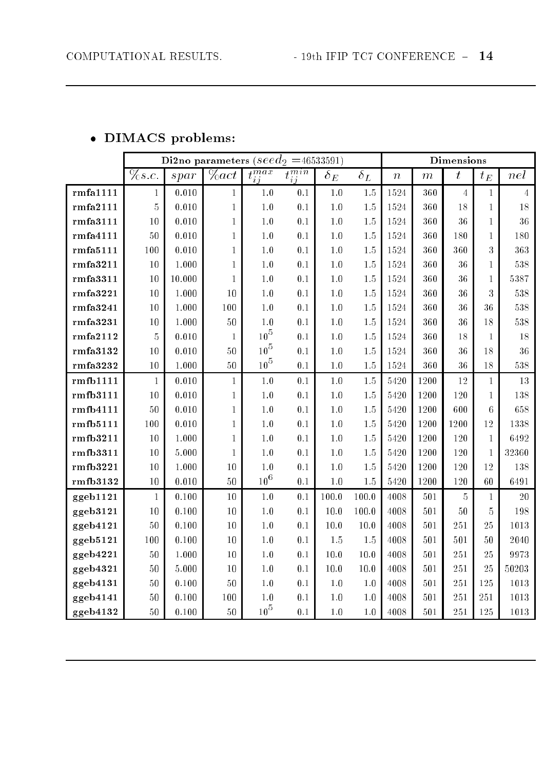#### DIMACS problems:

|           |                 |           |              |                |                             | Di2no parameters ( $seed_2$ =46533591) |            |                  |         |                     |                 |                |  |
|-----------|-----------------|-----------|--------------|----------------|-----------------------------|----------------------------------------|------------|------------------|---------|---------------------|-----------------|----------------|--|
|           | $\sqrt{\%s.c.}$ | sprr      | $\%act$      | $t_{ij}^{max}$ | $\overline{t^{min}}$<br>i j | $\delta_E$                             | $\delta_L$ | $\boldsymbol{n}$ | $\,m$   | $\boldsymbol{t}$    | $t_{\it E}$     | nel            |  |
| rmfa1111  | $\mathbf{1}$    | 0.010     | $\mathbf 1$  | $1.0\,$        | 0.1                         | $1.0\,$                                | $1.5\,$    | 1524             | 360     | $\overline{4}$      | $\mathbf 1$     | $\overline{4}$ |  |
| rmfa2111  | $\overline{5}$  | 0.010     | $\mathbf{1}$ | $1.0\,$        | 0.1                         | 1.0                                    | $1.5\,$    | 1524             | 360     | 18                  | $\mathbf{1}$    | 18             |  |
| rmfa3111  | $10\,$          | 0.010     | 1            | $1.0\,$        | 0.1                         | $1.0\,$                                | $1.5\,$    | 1524             | 360     | 36                  | 1               | 36             |  |
| rmfa4111  | $50\,$          | 0.010     | 1            | $1.0\,$        | 0.1                         | 1.0                                    | $1.5\,$    | 1524             | 360     | 180                 | 1               | 180            |  |
| rmfa5111  | 100             | 0.010     | $\mathbf{1}$ | $1.0\,$        | 0.1                         | $1.0\,$                                | $1.5\,$    | 1524             | 360     | 360                 | 3               | 363            |  |
| rmfa3211  | $10\,$          | 1.000     | 1            | $1.0\,$        | $0.1\,$                     | $1.0\,$                                | $1.5\,$    | 1524             | 360     | 36                  | 1               | 538            |  |
| rmfa3311  | 10              | 10.000    | 1            | $1.0\,$        | 0.1                         | $1.0\,$                                | $1.5\,$    | 1524             | 360     | 36                  | 1               | 5387           |  |
| rmfa3221  | $10\,$          | 1.000     | $10\,$       | $1.0\,$        | $0.1\,$                     | $1.0\,$                                | $1.5\,$    | 1524             | 360     | 36                  | 3               | $538\,$        |  |
| rmfa3241  | 10              | 1.000     | 100          | $1.0\,$        | $0.1\,$                     | $1.0\,$                                | $1.5\,$    | 1524             | 360     | 36                  | 36              | 538            |  |
| rmfa3231  | $10\,$          | 1.000     | $50\,$       | $1.0\,$        | $0.1\,$                     | $1.0\,$                                | $1.5\,$    | 1524             | 360     | 36                  | 18              | 538            |  |
| rmfa2112  | $\mathbf 5$     | 0.010     | 1            | $10^5$         | 0.1                         | $1.0\,$                                | $1.5\,$    | 1524             | 360     | 18                  | 1               | 18             |  |
| rmfa3132  | $10\,$          | 0.010     | $50\,$       | $10^5$         | 0.1                         | 1.0                                    | $1.5\,$    | 1524             | 360     | 36                  | 18              | 36             |  |
| rm fa3232 | $10\,$          | $1.000\,$ | $50\,$       | $10^5$         | 0.1                         | $1.0\,$                                | $1.5\,$    | 1524             | 360     | 36                  | 18              | 538            |  |
| rmfb1111  | $\mathbf{1}$    | 0.010     | $\mathbf{1}$ | $1.0\,$        | 0.1                         | $1.0\,$                                | $1.5\,$    | 5420             | 1200    | 12                  | 1               | 13             |  |
| rmfb3111  | 10              | 0.010     | $\mathbf{1}$ | 1.0            | $0.1\,$                     | $1.0\,$                                | $1.5\,$    | 5420             | 1200    | 120                 | 1               | 138            |  |
| rmfb4111  | $50\,$          | 0.010     | 1            | $1.0\,$        | $0.1\,$                     | $1.0\,$                                | $1.5\,$    | 5420             | 1200    | 600                 | $6\phantom{.}6$ | 658            |  |
| rmfb5111  | 100             | 0.010     | 1            | $1.0\,$        | 0.1                         | $1.0\,$                                | $1.5\,$    | 5420             | 1200    | 1200                | 12              | 1338           |  |
| rmfb3211  | $10\,$          | 1.000     | $\mathbf{1}$ | $1.0\,$        | 0.1                         | 1.0                                    | $1.5\,$    | 5420             | 1200    | 120                 | $\mathbf{1}$    | 6492           |  |
| rmfb3311  | 10              | 5.000     | 1            | $1.0\,$        | $0.1\,$                     | $1.0\,$                                | $1.5\,$    | 5420             | 1200    | 120                 | $\mathbf{1}$    | 32360          |  |
| rmfb3221  | 10              | 1.000     | 10           | $1.0\,$        | $0.1\,$                     | 1.0                                    | $1.5\,$    | 5420             | 1200    | 120                 | 12              | 138            |  |
| rmfb3132  | 10              | 0.010     | $50\,$       | $10^6\,$       | $0.1\,$                     | $1.0\,$                                | $1.5\,$    | 5420             | 1200    | 120                 | $60\,$          | 6491           |  |
| ggeb1121  | $\mathbf{1}$    | 0.100     | $10\,$       | $1.0\,$        | 0.1                         | 100.0                                  | 100.0      | 4008             | 501     | $\overline{5}$      | 1               | 20             |  |
| ggeb3121  | $10\,$          | 0.100     | 10           | $1.0\,$        | $0.1\,$                     | 10.0                                   | 100.0      | 4008             | 501     | $50\,$              | $\overline{5}$  | 198            |  |
| ggeb4121  | $50\,$          | 0.100     | 10           | $1.0\,$        | 0.1                         | 10.0                                   | $10.0\,$   | 4008             | 501     | 251                 | 25              | 1013           |  |
| ggeb5121  | 100             | 0.100     | 10           | $1.0\,$        | 0.1                         | $1.5\,$                                | $1.5\,$    | 4008             | 501     | 501                 | $5\,0$          | 2040           |  |
| ggeb4221  | $50\,$          | 1.000     | 10           | $1.0\,$        | 0.1                         | 10.0                                   | $10.0\,$   | 4008             | 501     | $2\sqrt{5}\sqrt{1}$ | 25              | 9973           |  |
| ggeb4321  | $50\,$          | 5.000     | $10\,$       | $1.0\,$        | 0.1                         | $10.0\,$                               | $10.0\,$   | 4008             | 501     | $2\sqrt{5}\sqrt{1}$ | 25              | 50203          |  |
| ggeb4131  | $50\,$          | 0.100     | $50\,$       | $1.0\,$        | $0.1\,$                     | $1.0\,$                                | $1.0$      | 4008             | 501     | 251                 | 125             | 1013           |  |
| ggeb4141  | $50\,$          | 0.100     | $100\,$      | $1.0\,$        | 0.1                         | $1.0\,$                                | $1.0\,$    | 4008             | 501     | 251                 | 251             | $1013\,$       |  |
| ggeb4132  | $50\,$          | 0.100     | 50           | $10^5\,$       | $0.1\,$                     | $1.0\,$                                | $1.0\,$    | 4008             | $501\,$ | $2\sqrt{5}\sqrt{1}$ | 125             | 1013           |  |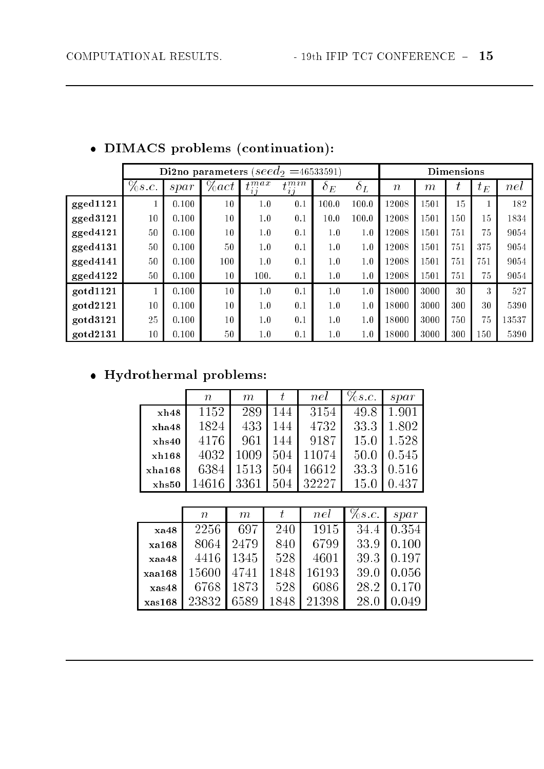|                |          | Di2no parameters ( $seed_2$ =46533591) |          |                        |                 |            |            |                  |       | <b>Dimensions</b> |             |       |  |  |  |
|----------------|----------|----------------------------------------|----------|------------------------|-----------------|------------|------------|------------------|-------|-------------------|-------------|-------|--|--|--|
|                | $\%s.c.$ | $*$                                    | $\%$ act | $_{\frac{4}{}}$<br>2.2 | $t^{mn}$<br>2.2 | $\delta_E$ | $\delta_L$ | $\boldsymbol{n}$ | $m\,$ |                   | $t_{\it E}$ | nel   |  |  |  |
| gged1121       | 1        | 0.100                                  | 10       | 1.0                    | 0.1             | 100.0      | 100.0      | 12008            | 1501  | 15                |             | 182   |  |  |  |
| gged3121       | 10       | 0.100                                  | 10       | 1.0                    | 0.1             | 10.0       | 100.0      | 12008            | 1501  | 150               | 15          | 1834  |  |  |  |
| gged4121       | 50       | 0.100                                  | 10       | 1.0                    | 0.1             | 1.0        | 1.0        | 12008            | 1501  | 751               | 75          | 9054  |  |  |  |
| gged4131       | 50       | 0.100                                  | 50       | 1.0                    | 0.1             | 1.0        | 1.0        | 12008            | 1501  | 751               | 375         | 9054  |  |  |  |
| gged4141       | 50       | 0.100                                  | 100      | 1.0                    | 0.1             | 1.0        | 1.0        | 12008            | 1501  | 751               | 751         | 9054  |  |  |  |
| $\rm gged4122$ | 50       | 0.100                                  | 10       | 100.                   | 0.1             | 1.0        | 1.0        | 12008            | 1501  | 751               | 75          | 9054  |  |  |  |
| gotd1121       | 1        | 0.100                                  | 10       | 1.0                    | 0.1             | 1.0        | 1.0        | 18000            | 3000  | 30                | 3           | 527   |  |  |  |
| gotd2121       | 10       | 0.100                                  | 10       | 1.0                    | 0.1             | 1.0        | 1.0        | 18000            | 3000  | 300               | 30          | 5390  |  |  |  |
| gotd3121       | 25       | 0.100                                  | 10       | 1.0                    | 0.1             | 1.0        | 1.0        | 18000            | 3000  | 750               | 75          | 13537 |  |  |  |
| gotd2131       | 10       | 0.100                                  | 50       | 1.0                    | 0.1             | 1.0        | 1.0        | 18000            | 3000  | 300               | 150         | 5390  |  |  |  |

### • DIMACS problems (continuation):

### $\bullet$  Hydrothermal problems:

|        | $\, n$ | m     | t.   | nel   | $\%s.c.$ | $*$   |
|--------|--------|-------|------|-------|----------|-------|
| xh48   | 1152   | 289   | 144  | 3154  | 49.8     | 1.901 |
| xha48  | 1824   | 433   | 144  | 4732  | 33.3     | 1.802 |
| xhs40  | 4176   | 961   | 144  | 9187  | 15.0     | 1.528 |
| xh168  | 4032   | 1009  | 504  | 11074 | 50.0     | 0.545 |
| xha168 | 6384   | 1513  | 504  | 16612 | 33.3     | 0.516 |
| xhs50  | 14616  | 3361  | 504  | 32227 | 15.0     | 0.437 |
|        |        |       |      |       |          |       |
|        | $\, n$ | $\,m$ | t    | nel   | $\%s.c.$ | $*$   |
| xa48   | 2256   | 697   | 240  | 1915  | 34.4     | 0.354 |
| xa168  | 8064   | 2479  | 840  | 6799  | 33.9     | 0.100 |
| xaa48  | 4416   | 1345  | 528  | 4601  | 39.3     | 0.197 |
| xaa168 | 15600  | 4741  | 1848 | 16193 | 39.0     | 0.056 |
| xas48  | 6768   | 1873  | 528  | 6086  | 28.2     | 0.170 |
| xas168 | 23832  | 6589  | 1848 | 21398 | 28.0     | 0.049 |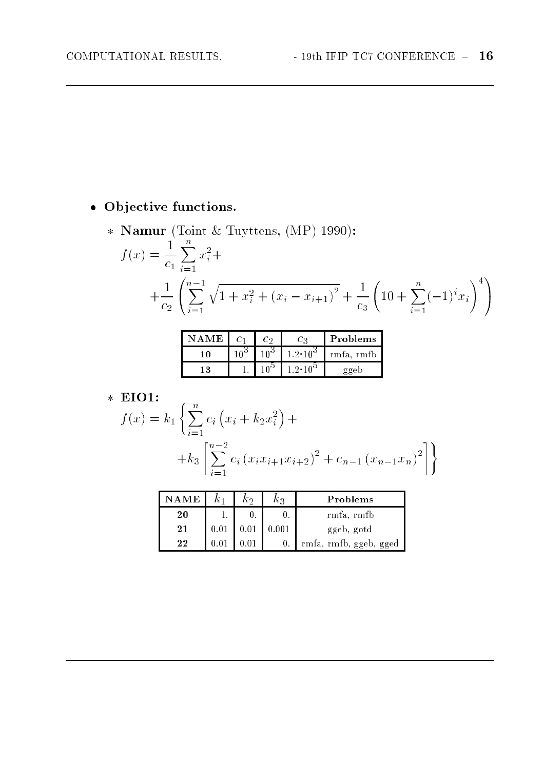### · Objective functions.

\* Namur (Toint & Tuyttens, (MP) 1990):  $f(x) = \frac{1}{c_1} \sum_{i=1}^{n} x_i^2 +$  $+\frac{1}{c_{2}}\left(\sum_{i=1}^{n-1}\sqrt{1+x_{i}^{2}+\left(x_{i}-x_{i+1}\right)^{2}}+\frac{1}{c_{3}}\left(10+\sum_{i=1}^{n}(-1)^{i}x_{i}\right)^{4}\right)$ 

|    | ் உ | (م: 1  | Problems |
|----|-----|--------|----------|
|    |     |        | rmta     |
| ୍ଦ |     | . 1 ∩ີ |          |

#### $\times$  EIO1:

$$
f(x) = k_1 \left\{ \sum_{i=1}^n c_i \left( x_i + k_2 x_i^2 \right) + \right.+ k_3 \left[ \sum_{i=1}^{n-2} c_i \left( x_i x_{i+1} x_{i+2} \right)^2 + c_{n-1} \left( x_{n-1} x_n \right)^2 \right] \right\}
$$

| ГF. |      | kэ   | Kэ    | Problems               |
|-----|------|------|-------|------------------------|
| 20  |      |      |       | rmfa, rmfb             |
| 21  | 0.01 | 0.01 | 0.001 | ggeb, gotd             |
| 22  | 0.01 |      | 0.    | rmfa, rmfb, ggeb, gged |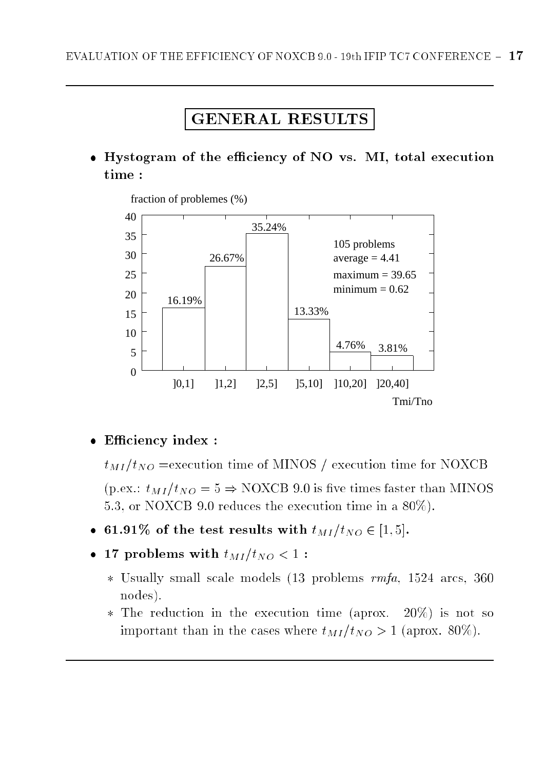### GENERAL RESULTS

 Hystogram of the eciency of NO vs. MI, total execution time :



fraction of problemes (%)

#### Eciency index :

 $t_{MI}/t_{NO}$  =execution time of MINOS / execution time for NOXCB (p.ex.:  $t_{MI}/t_{NO} = 5 \Rightarrow$  NOXCB 9.0 is five times faster than MINOS 5.3, or NOXCB 9.0 reduces the execution time in a 80%).

- 61.91% of the test results with  $t_{MI}/t_{NO} \in [1, 5]$ .
- $\mathcal{L} = \mathcal{L}$  problems with the taught to  $\mathcal{L} = \mathcal{L}$ 
	- Usually small scale models (13 problems rmfa, 1524 arcs, 360 nodes).
	- The reduction in the execution time (aprox. 20%) is not so important than in the cases where  $t_{MI}/t_{NO} > 1$  (aprox. 80%).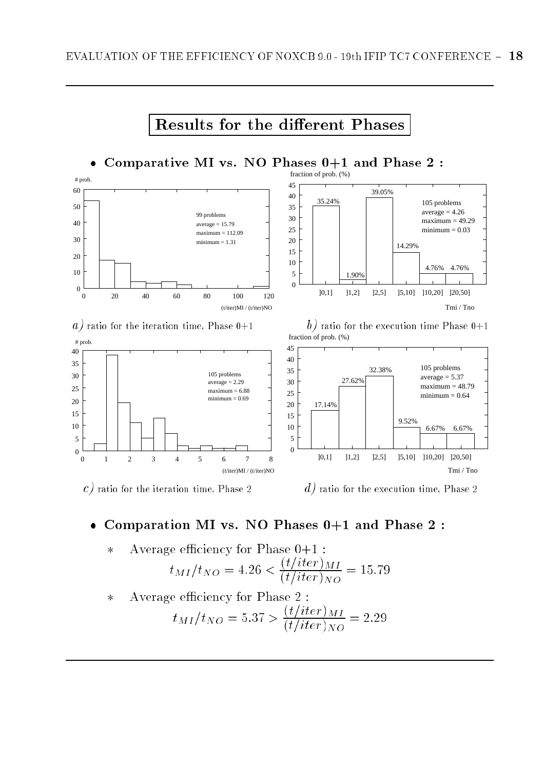

#### Comparation MI vs. NO Phases 0+1 and Phase 2 :

Average efficiency for Phase 0+1 :  
\n
$$
t_{MI}/t_{NO} = 4.26 < \frac{(t/iter)_{MI}}{(t/iter)_{NO}} = 15.79
$$

 $\ast$ 

Average efficiency for Phase  $2$  :  $\ast$  $t_{MI}/t_{NO} = 5.37 > \frac{(t/iter)_{NO}}{(t/iter)_{NO}} = 2.29$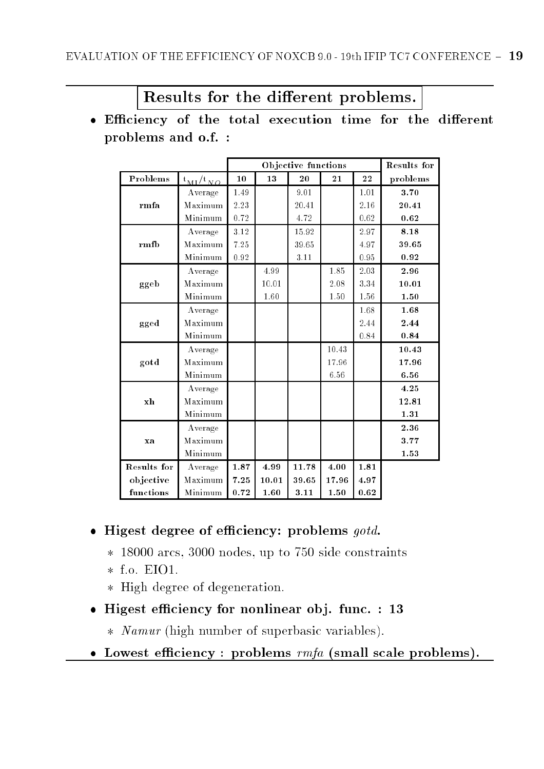### Results for the different problems.

 Eciency of the total execution time for the dierent problems and o.f. :

|             |                     |      |       | Objective functions |       |      | Results for |
|-------------|---------------------|------|-------|---------------------|-------|------|-------------|
| Problems    | $t_{\rm MI}/t_{NO}$ | 10   | 13    | $20\,$              | 21    | 22   | problems    |
|             | Average             | 1.49 |       | 9.01                |       | 1.01 | 3.70        |
| rmfa        | Maximum             | 2.23 |       | 20.41               |       | 2.16 | 20.41       |
|             | Minimum             | 0.72 |       | 4.72                |       | 0.62 | 0.62        |
|             | Average             | 3.12 |       | 15.92               |       | 2.97 | 8.18        |
| rmfb        | Maximum             | 7.25 |       | 39.65               |       | 4.97 | 39.65       |
|             | Minimum             | 0.92 |       | 3.11                |       | 0.95 | 0.92        |
|             | Average             |      | 4.99  |                     | 1.85  | 2.03 | 2.96        |
| ggeb        | Maximum             |      | 10.01 |                     | 2.08  | 3.34 | 10.01       |
|             | Minimum             |      | 1.60  |                     | 1.50  | 1.56 | 1.50        |
|             | Average             |      |       |                     |       | 1.68 | 1.68        |
| gged        | Maximum             |      |       |                     |       | 2.44 | 2.44        |
|             | Minimum             |      |       |                     |       | 0.84 | 0.84        |
|             | Average             |      |       |                     | 10.43 |      | 10.43       |
| gotd        | Maximum             |      |       |                     | 17.96 |      | 17.96       |
|             | Minimum             |      |       |                     | 6.56  |      | 6.56        |
|             | Average             |      |       |                     |       |      | 4.25        |
| xh          | Maximum             |      |       |                     |       |      | 12.81       |
|             | Minimum             |      |       |                     |       |      | 1.31        |
|             | Average             |      |       |                     |       |      | 2.36        |
| xa          | Maximum             |      |       |                     |       |      | 3.77        |
|             | Minimum             |      |       |                     |       |      | 1.53        |
| Results for | Average             | 1.87 | 4.99  | 11.78               | 4.00  | 1.81 |             |
| objective   | Maximum             | 7.25 | 10.01 | 39.65               | 17.96 | 4.97 |             |
| functions   | Minimum             | 0.72 | 1.60  | 3.11                | 1.50  | 0.62 |             |

#### Higest degree of eciency: problems gotd.

- 18000 arcs, 3000 nodes, up to 750 side constraints
- $f.$  Eion. Este o Ei
- $H = -\frac{1}{2}$  degree of degree of degree of degeneration.
- Higest eciency for nonlinear ob j. func. : 13
	- Namur (high number of superbasic variables).
- Lowest eciency : problems rmfa (small scale problems).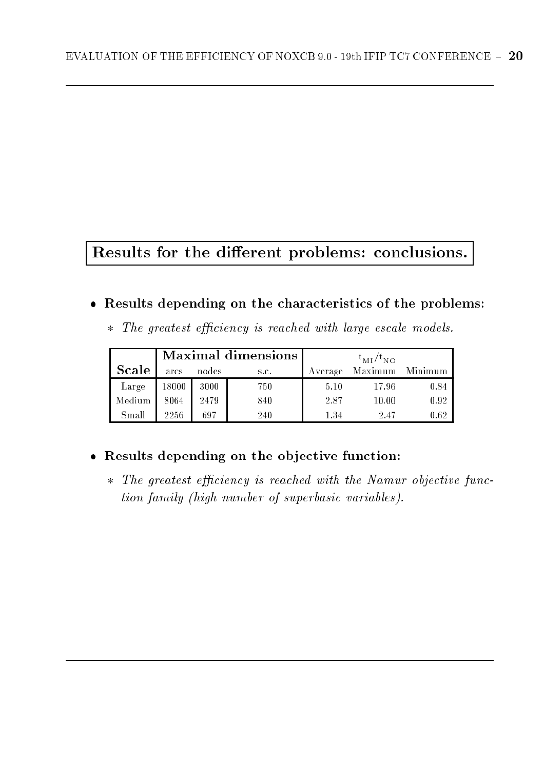## Results for the different problems: conclusions.

#### Results depending on the characteristics of the problems:

| * The greatest efficiency is reached with large escale models. |  |  |  |  |
|----------------------------------------------------------------|--|--|--|--|
|                                                                |  |  |  |  |

|              |       |       | <b>Maximal dimensions</b> | $t_{\rm MI}/t_{\rm NO}$ |                 |      |  |  |
|--------------|-------|-------|---------------------------|-------------------------|-----------------|------|--|--|
| <b>Scale</b> | arcs  | nodes | S.C.                      | Average                 | Maximum Minimum |      |  |  |
| Large        | 18000 | 3000  | 750                       | 5.10                    | 17.96           | 0.84 |  |  |
| Medium       | 8064  | 2479  | 840                       | 2.87                    | 10.00           | 0.92 |  |  |
| Small        | 2256  | 697   | 240                       | 1.34                    | 2.47            | 0.62 |  |  |

### Results depending on the ob jective function:

 The greatest eciency is reached with the Namur objective function family (high number of superbasic variables).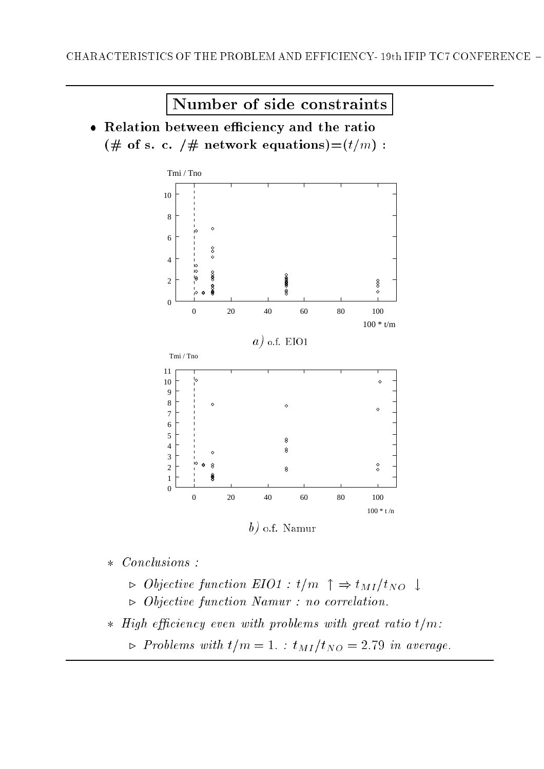Number of side constraints

 Relation between eciency and the ratio (# of s. c. /# network equations)= $(t/m)$  :



- $\triangleright$  Objective function EIO1 : t/m  $\uparrow \Rightarrow t_{MI}/t_{NO} \downarrow$
- $\triangleright$  Objective function Namur : no correlation.

High eciency even with problems with great ratio t=m:

 $\triangleright$  Problems with  $t/m = 1$ . :  $t_{MI}/t_{NO} = 2.79$  in average.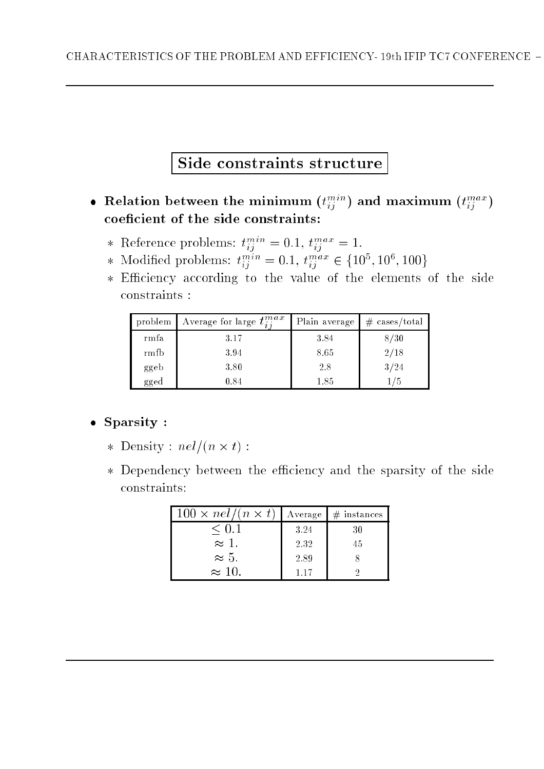## Side constraints structure

- Relation between the minimum  $(t_{ij}^{i,j})$  and maximum  $(t_{ij}^{i,j})$ coeficient of the side constraints:
	- \* Reference problems:  $t_{ij}^{m} = 0.1, t_{ij}^{m} = 1.$
	- \* Modified problems:  $t_{ij}^{cm} = 0.1, t_{ij}^{cm} \in \{10^{\circ}, 10^{\circ}, 100\}$
	- Eciency according to the value of the elements of the side constraints :

| problem | Average for large $t^{max}_{i}$ | Plain average | $# \; \text{cases/total}$ |
|---------|---------------------------------|---------------|---------------------------|
| rmfa    | 3.17                            | 3.84          | 8/30                      |
| rmfb    | 3.94                            | 8.65          | 2/18                      |
| ggeb    | 3.80                            | 2.8           | 3/24                      |
| gged    | 0.84                            | 1.85          |                           |

#### $S = S$  is the space of  $S$  . The space of  $S$

- Density : nel=(n t) :
- Dependency between the eciency and the sparsity of the side constraints:

| $100 \times \frac{nel}{(n \times t)}$ | Average | $#$ instances |
|---------------------------------------|---------|---------------|
| $\leq 0.1$                            | 3.24    | 30            |
| $\bar{\approx}$ 1.                    | 2.32    | 45            |
| $\approx 5$ .                         | 2.89    |               |
| $\approx 10$ .                        | 117     |               |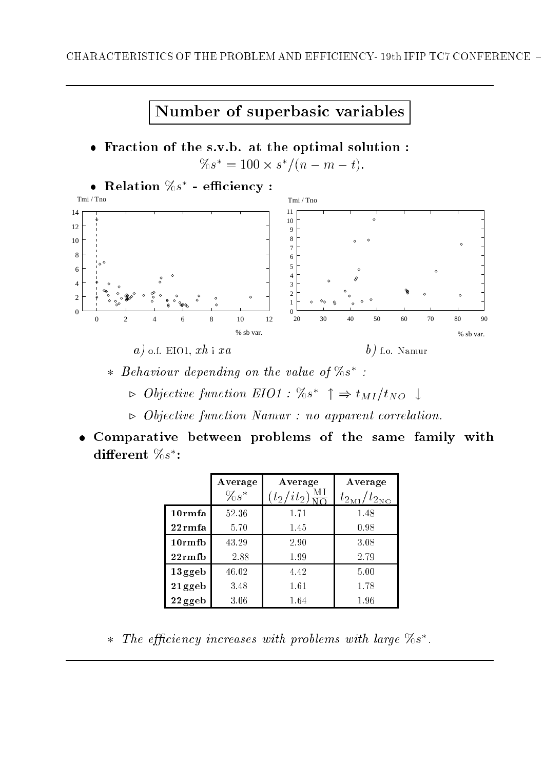

- $*$  Behaviour depending on the value of  $\gamma_0 s$  :
	- $\triangleright$  Objective function EIO1 : 708  $\mid \Rightarrow t_{MI}/t_{NO} \downarrow$
	- . Objective function Namur : no apparent correlation.
- Comparative between problems of the same family with  ${\bf a}$ merent  ${\it 708}\;$  :

|                  | Average | Average                                                             | Average                                   |
|------------------|---------|---------------------------------------------------------------------|-------------------------------------------|
|                  | $\%s^*$ | $it_2)$<br>$(t_{2}% ,\ldots,t_{n})\in\mathbb{Z}_{\geq0}\cup\{0,1\}$ | $/t_{2_{N_{\Omega}}}$<br>$t_{2_{\rm MJ}}$ |
| 10rmfa           | 52.36   | 1.71                                                                | 1.48                                      |
| $22 \text{rmfa}$ | 5.70    | 1.45                                                                | 0.98                                      |
| $10rm$ fb        | 43.29   | 2.90                                                                | 3.08                                      |
| $22rm$ rmfb      | 2.88    | 1.99                                                                | 2.79                                      |
| $13$ ggeb        | 46.02   | 4.42                                                                | 5.00                                      |
| 21 ggeb          | 3.48    | 1.61                                                                | 1.78                                      |
| $22$ ggeb        | 3.06    | 1.64                                                                | 1.96                                      |

 $\ast$  live efficiency increases with problems with large 705 .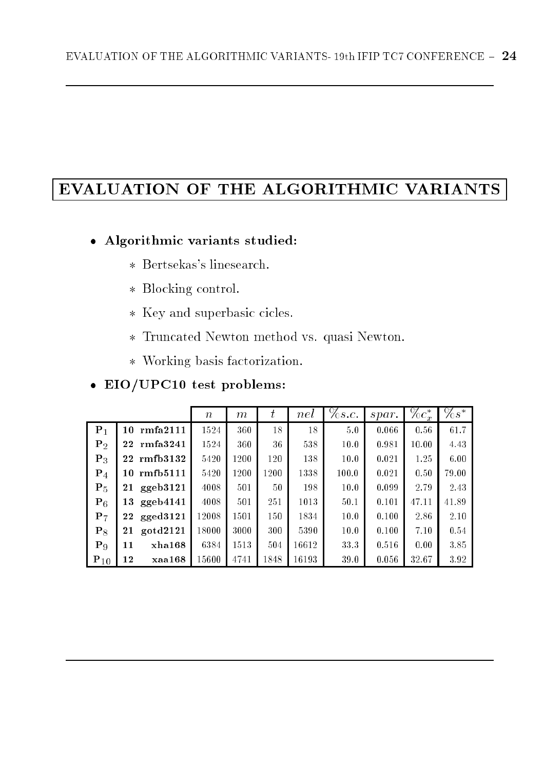## EVALUATION OF THE ALGORITHMIC VARIANTS

#### Algorithmic variants studied:

- Bertsekas's linesearch.
- $\mathbb{R}$  becomes control.
- Key and superbasic cicles.
- Truncated Newton method vs. quasi Newton.
- Working basis factorization. The second basis factorization of the second basis factorization. The second basis of the second basis of the second basis of the second basis of the second basis of the second basis of the sec

#### EIO/UPC10 test problems:

|                |                | $\, n$ | m    | $\, t \,$ | nel   | $\%s.c.$ | $*$   | $\%c_x^*$ | $\%s^*$ |
|----------------|----------------|--------|------|-----------|-------|----------|-------|-----------|---------|
| $P_1$          | 10 rmfa2111    | 1524   | 360  | 18        | 18    | 5.0      | 0.066 | 0.56      | 61.7    |
| P <sub>2</sub> | 22 rmfa3241    | 1524   | 360  | 36        | 538   | 10.0     | 0.981 | 10.00     | 4.43    |
| $P_3$          | 22 rmfb3132    | 5420   | 1200 | 120       | 138   | 10.0     | 0.021 | 1.25      | 6.00    |
| $P_4$          | 10 rmfb5111    | 5420   | 1200 | 1200      | 1338  | 100.0    | 0.021 | 0.50      | 79.00   |
| $P_5$          | ggeb3121<br>21 | 4008   | 501  | 50        | 198   | 10.0     | 0.099 | 2.79      | 2.43    |
| $P_6$          | 13 ggeb4141    | 4008   | 501  | 251       | 1013  | 50.1     | 0.101 | 47.11     | 41.89   |
| $P_7$          | 22 gged3121    | 12008  | 1501 | 150       | 1834  | 10.0     | 0.100 | 2.86      | 2.10    |
| $P_8$          | gotd2121<br>21 | 18000  | 3000 | 300       | 5390  | 10.0     | 0.100 | 7.10      | 0.54    |
| $P_9$          | xha168<br>11   | 6384   | 1513 | 504       | 16612 | 33.3     | 0.516 | 0.00      | 3.85    |
| $P_{10}$       | 12<br>xaa168   | 15600  | 4741 | 1848      | 16193 | 39.0     | 0.056 | 32.67     | 3.92    |